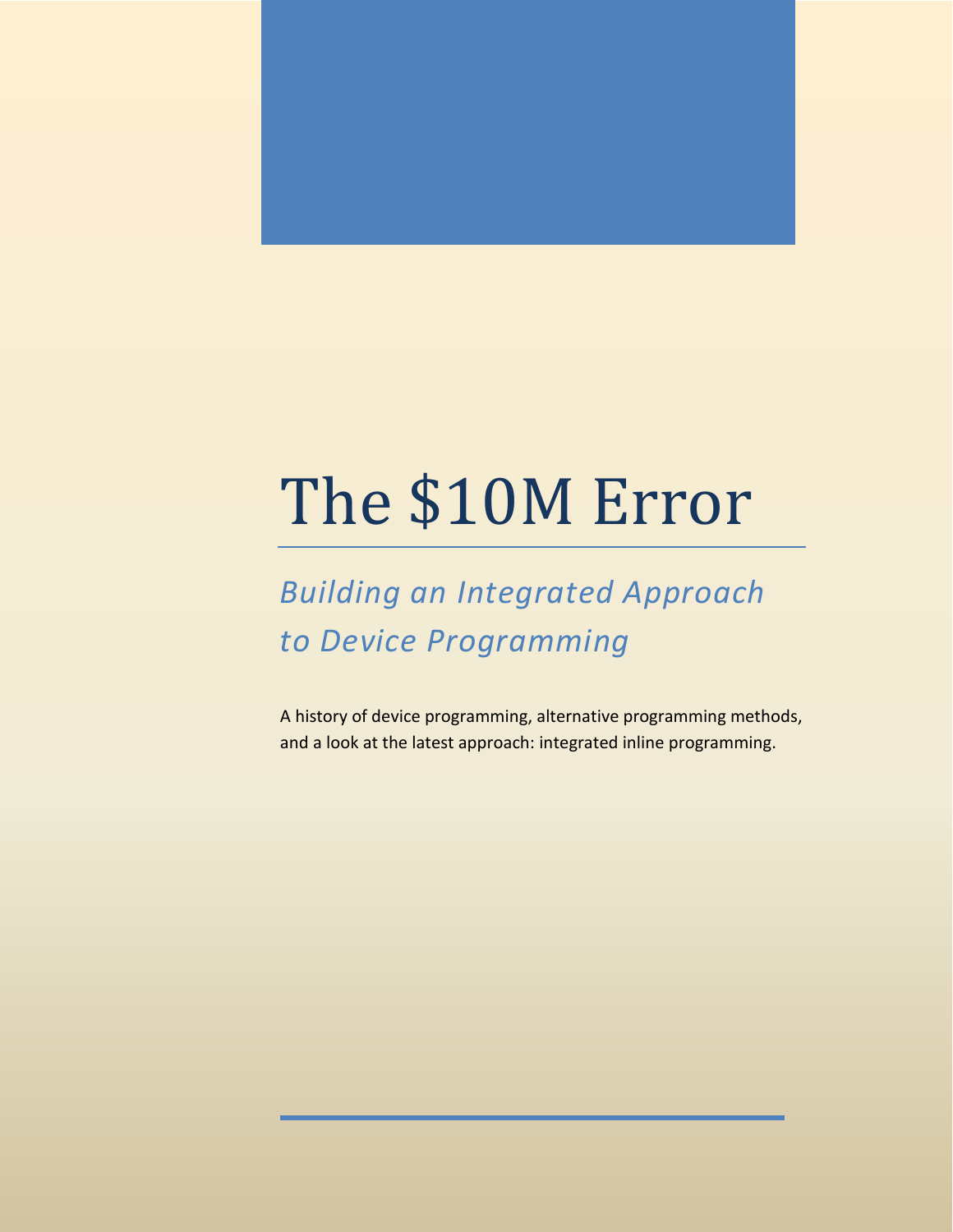# The \$10M Error

## *Building an Integrated Approach to Device Programming*

A history of device programming, alternative programming methods, and a look at the latest approach: integrated inline programming.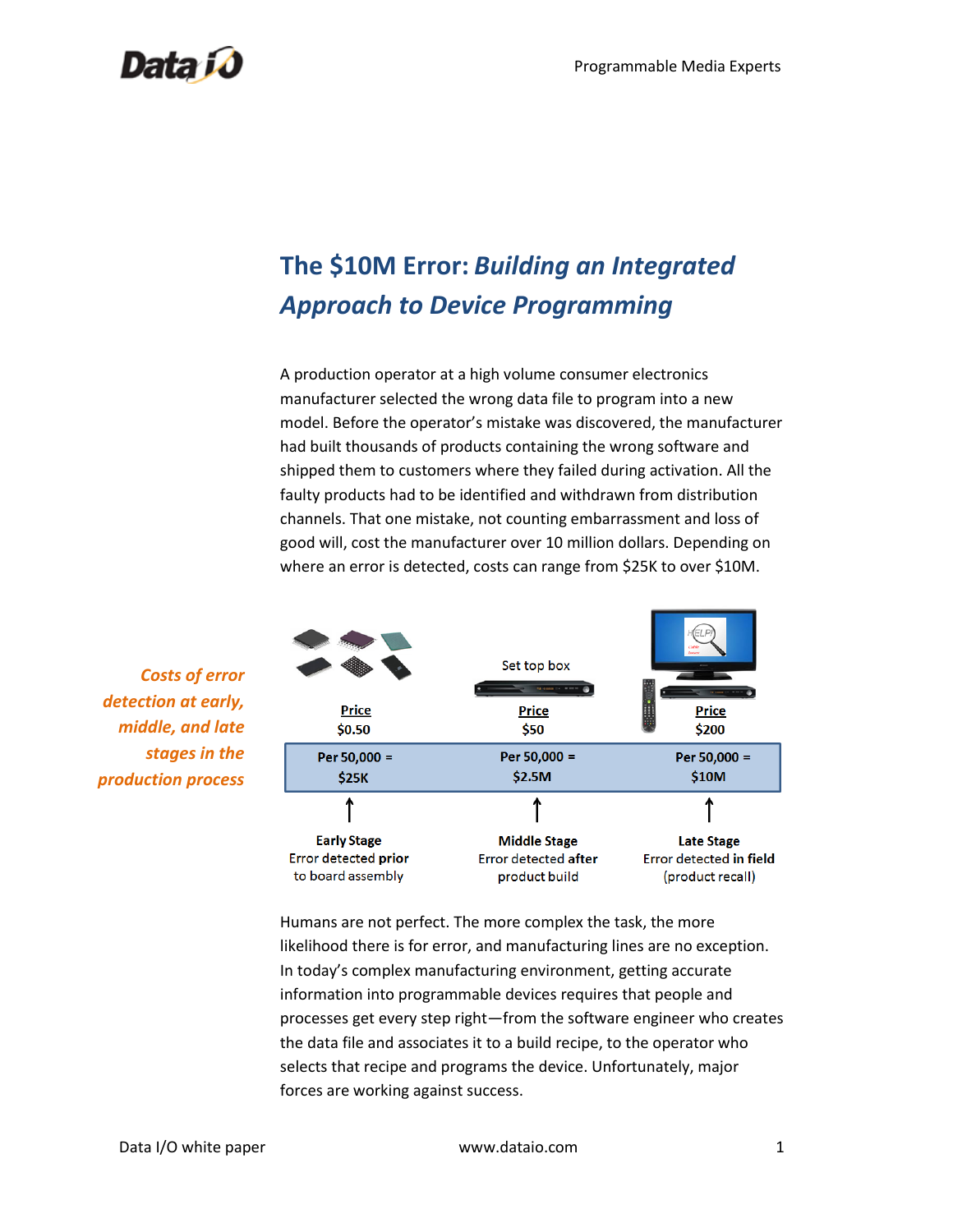

### **The \$10M Error:** *Building an Integrated Approach to Device Programming*

A production operator at a high volume consumer electronics manufacturer selected the wrong data file to program into a new model. Before the operator's mistake was discovered, the manufacturer had built thousands of products containing the wrong software and shipped them to customers where they failed during activation. All the faulty products had to be identified and withdrawn from distribution channels. That one mistake, not counting embarrassment and loss of good will, cost the manufacturer over 10 million dollars. Depending on where an error is detected, costs can range from \$25K to over \$10M.



*Costs of error detection at early, middle, and late stages in the production process*

> Humans are not perfect. The more complex the task, the more likelihood there is for error, and manufacturing lines are no exception. In today's complex manufacturing environment, getting accurate information into programmable devices requires that people and processes get every step right—from the software engineer who creates the data file and associates it to a build recipe, to the operator who selects that recipe and programs the device. Unfortunately, major forces are working against success.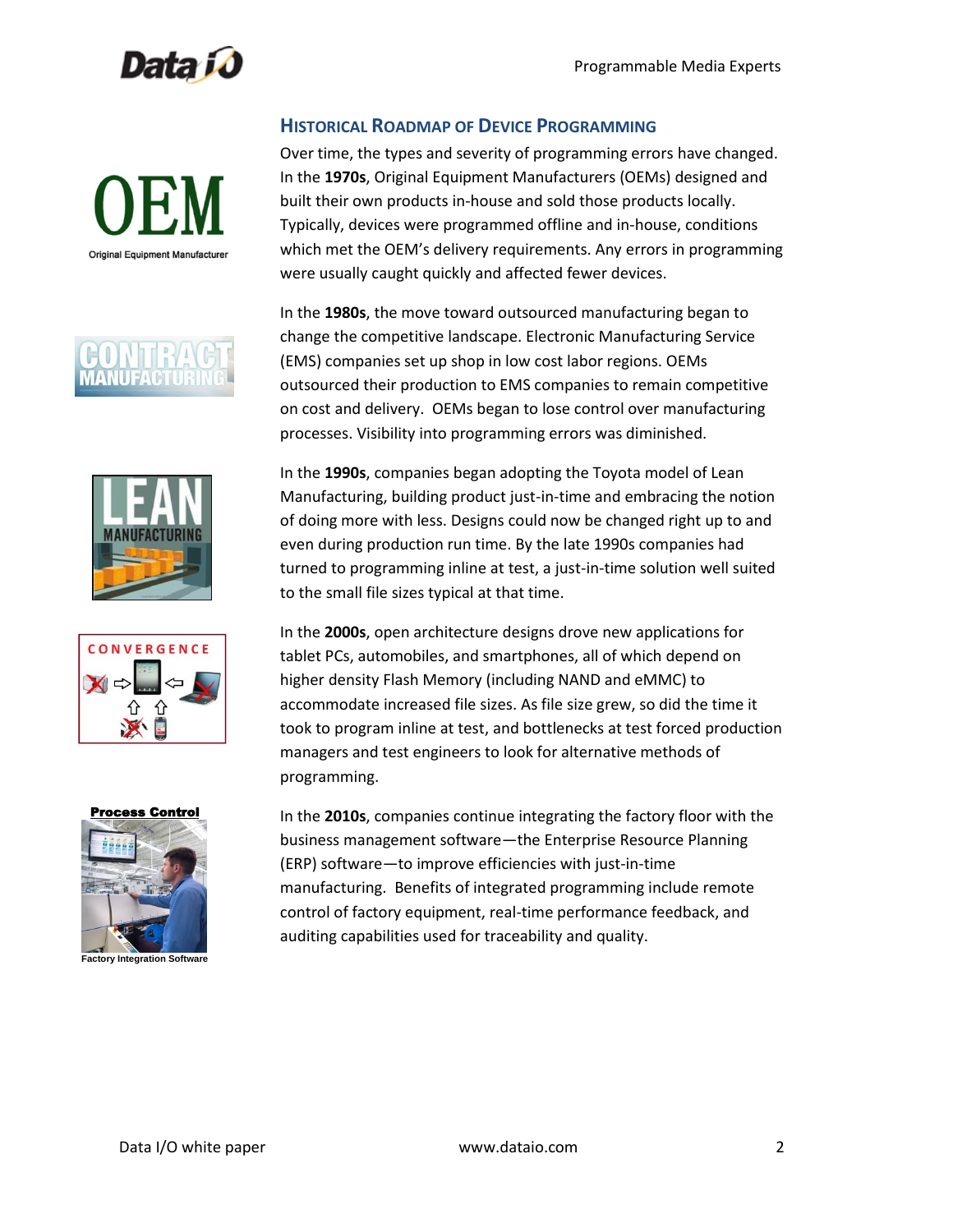











#### **HISTORICAL ROADMAP OF DEVICE PROGRAMMING**

Over time, the types and severity of programming errors have changed. In the **1970s**, Original Equipment Manufacturers (OEMs) designed and built their own products in-house and sold those products locally. Typically, devices were programmed offline and in-house, conditions which met the OEM's delivery requirements. Any errors in programming were usually caught quickly and affected fewer devices.

In the **1980s**, the move toward outsourced manufacturing began to change the competitive landscape. Electronic Manufacturing Service (EMS) companies set up shop in low cost labor regions. OEMs outsourced their production to EMS companies to remain competitive on cost and delivery. OEMs began to lose control over manufacturing processes. Visibility into programming errors was diminished.

In the **1990s**, companies began adopting the Toyota model of Lean Manufacturing, building product just-in-time and embracing the notion of doing more with less. Designs could now be changed right up to and even during production run time. By the late 1990s companies had turned to programming inline at test, a just-in-time solution well suited to the small file sizes typical at that time.

In the **2000s**, open architecture designs drove new applications for tablet PCs, automobiles, and smartphones, all of which depend on higher density Flash Memory (including NAND and eMMC) to accommodate increased file sizes. As file size grew, so did the time it took to program inline at test, and bottlenecks at test forced production managers and test engineers to look for alternative methods of programming.

In the **2010s**, companies continue integrating the factory floor with the business management software—the Enterprise Resource Planning (ERP) software—to improve efficiencies with just-in-time manufacturing. Benefits of integrated programming include remote control of factory equipment, real-time performance feedback, and auditing capabilities used for traceability and quality.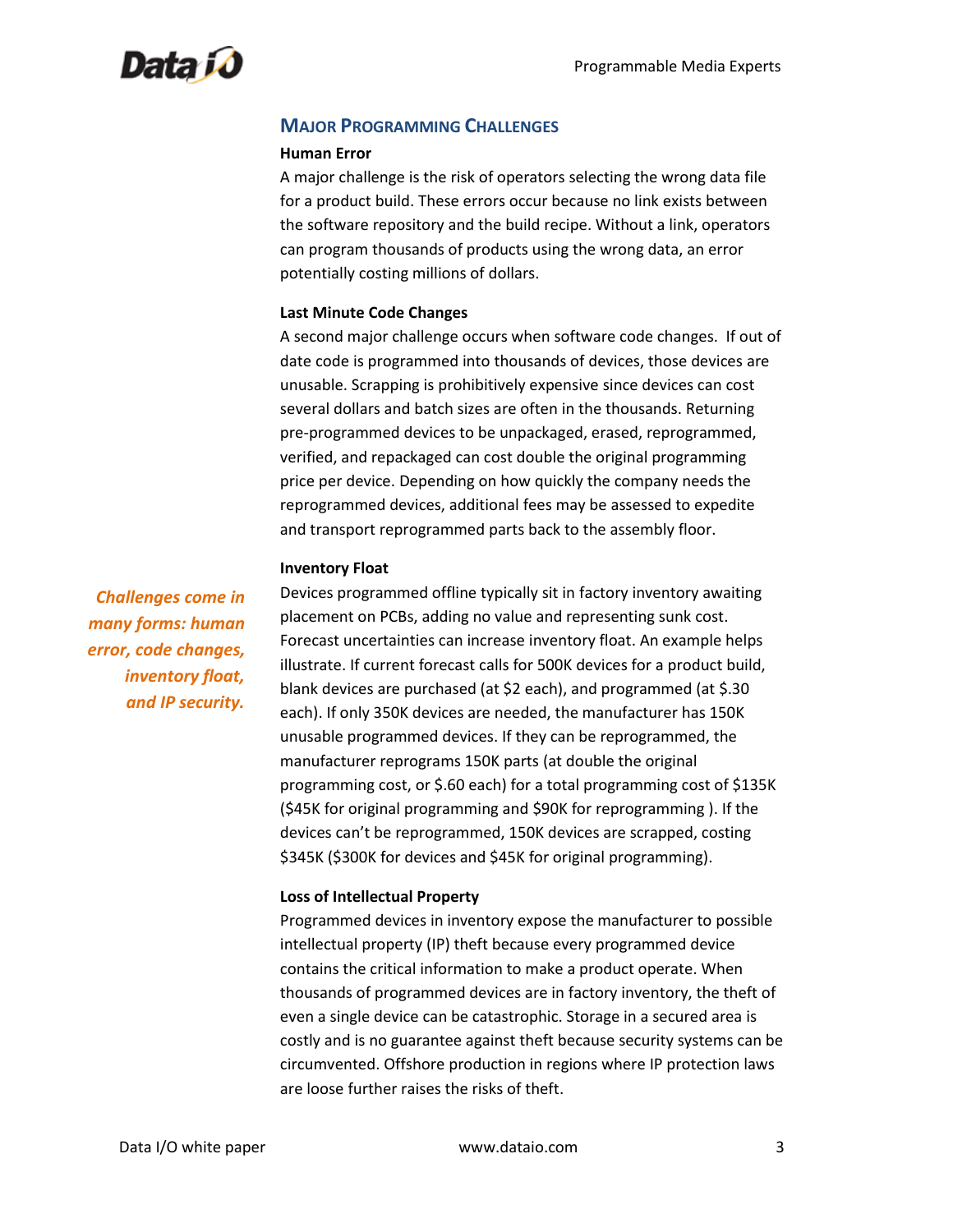

#### **MAJOR PROGRAMMING CHALLENGES**

#### **Human Error**

A major challenge is the risk of operators selecting the wrong data file for a product build. These errors occur because no link exists between the software repository and the build recipe. Without a link, operators can program thousands of products using the wrong data, an error potentially costing millions of dollars.

#### **Last Minute Code Changes**

A second major challenge occurs when software code changes. If out of date code is programmed into thousands of devices, those devices are unusable. Scrapping is prohibitively expensive since devices can cost several dollars and batch sizes are often in the thousands. Returning pre-programmed devices to be unpackaged, erased, reprogrammed, verified, and repackaged can cost double the original programming price per device. Depending on how quickly the company needs the reprogrammed devices, additional fees may be assessed to expedite and transport reprogrammed parts back to the assembly floor.

#### **Inventory Float**

*Challenges come in many forms: human error, code changes, inventory float, and IP security.*

Devices programmed offline typically sit in factory inventory awaiting placement on PCBs, adding no value and representing sunk cost. Forecast uncertainties can increase inventory float. An example helps illustrate. If current forecast calls for 500K devices for a product build, blank devices are purchased (at \$2 each), and programmed (at \$.30 each). If only 350K devices are needed, the manufacturer has 150K unusable programmed devices. If they can be reprogrammed, the manufacturer reprograms 150K parts (at double the original programming cost, or \$.60 each) for a total programming cost of \$135K (\$45K for original programming and \$90K for reprogramming ). If the devices can't be reprogrammed, 150K devices are scrapped, costing \$345K (\$300K for devices and \$45K for original programming).

#### **Loss of Intellectual Property**

Programmed devices in inventory expose the manufacturer to possible intellectual property (IP) theft because every programmed device contains the critical information to make a product operate. When thousands of programmed devices are in factory inventory, the theft of even a single device can be catastrophic. Storage in a secured area is costly and is no guarantee against theft because security systems can be circumvented. Offshore production in regions where IP protection laws are loose further raises the risks of theft.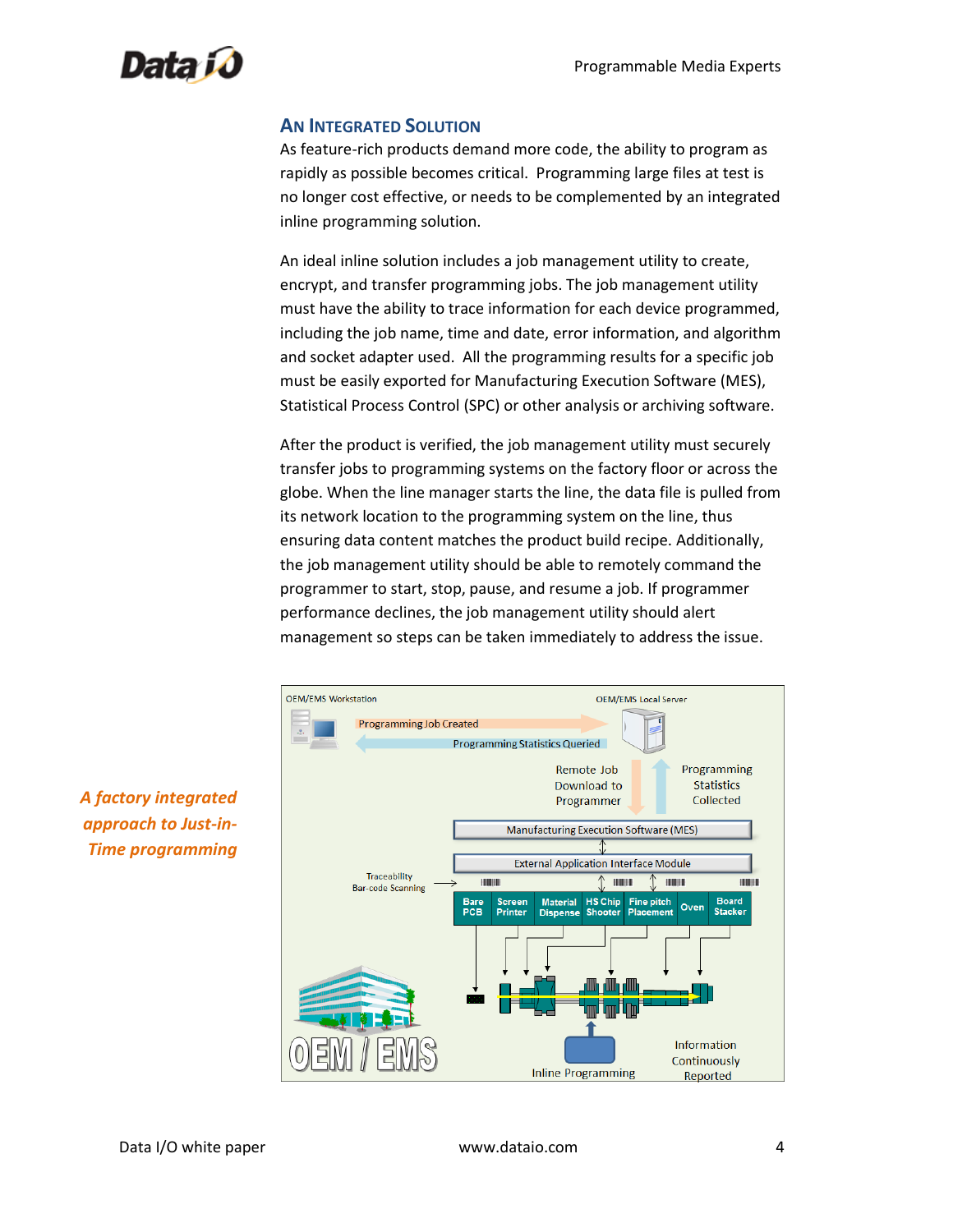

#### **AN INTEGRATED SOLUTION**

As feature-rich products demand more code, the ability to program as rapidly as possible becomes critical. Programming large files at test is no longer cost effective, or needs to be complemented by an integrated inline programming solution.

An ideal inline solution includes a job management utility to create, encrypt, and transfer programming jobs. The job management utility must have the ability to trace information for each device programmed, including the job name, time and date, error information, and algorithm and socket adapter used. All the programming results for a specific job must be easily exported for Manufacturing Execution Software (MES), Statistical Process Control (SPC) or other analysis or archiving software.

After the product is verified, the job management utility must securely transfer jobs to programming systems on the factory floor or across the globe. When the line manager starts the line, the data file is pulled from its network location to the programming system on the line, thus ensuring data content matches the product build recipe. Additionally, the job management utility should be able to remotely command the programmer to start, stop, pause, and resume a job. If programmer performance declines, the job management utility should alert management so steps can be taken immediately to address the issue.



*A factory integrated approach to Just-in-Time programming*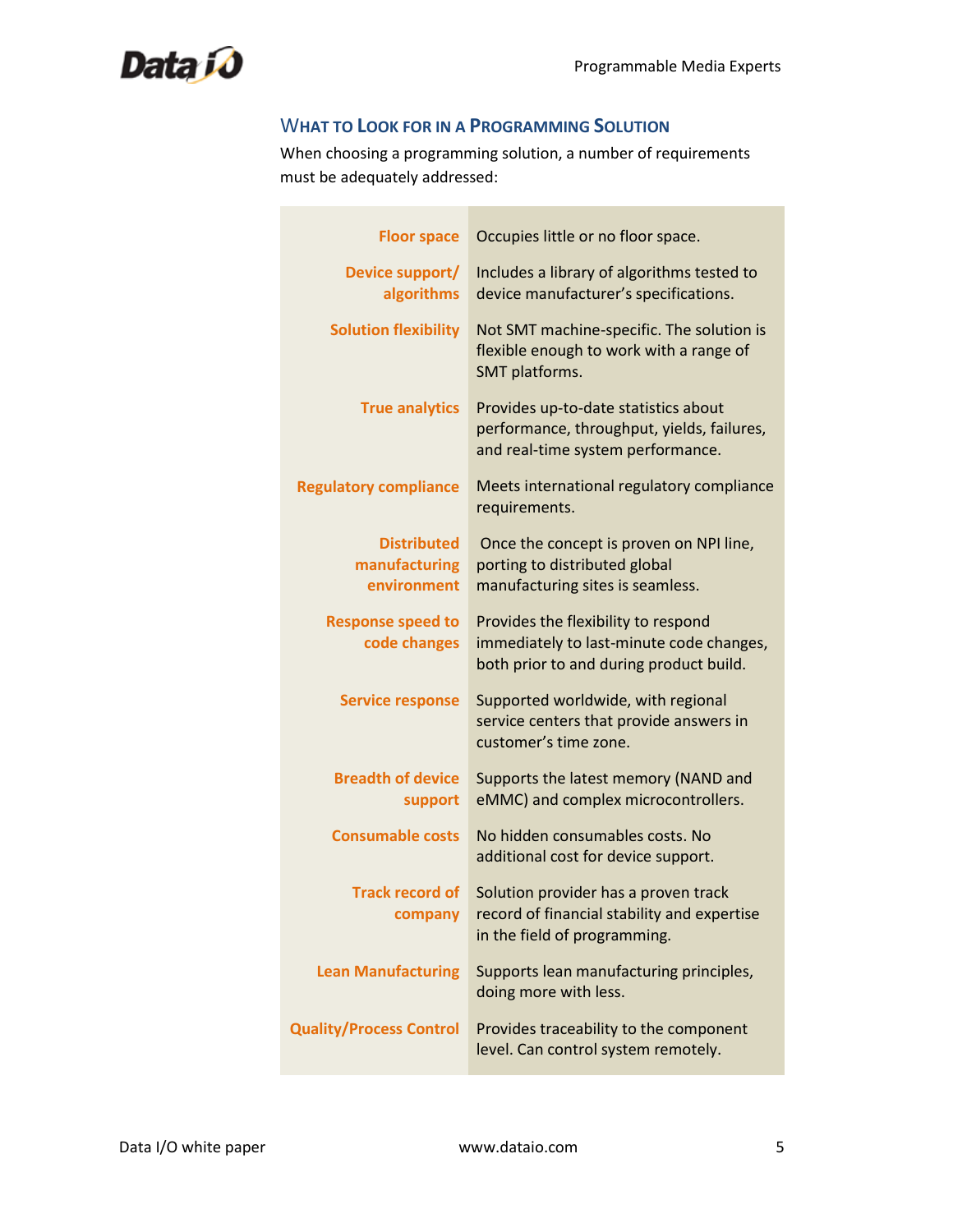

#### W**HAT TO LOOK FOR IN A PROGRAMMING SOLUTION**

When choosing a programming solution, a number of requirements must be adequately addressed:

| <b>Floor space</b>                                 | Occupies little or no floor space.                                                                                         |
|----------------------------------------------------|----------------------------------------------------------------------------------------------------------------------------|
| Device support/<br>algorithms                      | Includes a library of algorithms tested to<br>device manufacturer's specifications.                                        |
| <b>Solution flexibility</b>                        | Not SMT machine-specific. The solution is<br>flexible enough to work with a range of<br>SMT platforms.                     |
| <b>True analytics</b>                              | Provides up-to-date statistics about<br>performance, throughput, yields, failures,<br>and real-time system performance.    |
| <b>Regulatory compliance</b>                       | Meets international regulatory compliance<br>requirements.                                                                 |
| <b>Distributed</b><br>manufacturing<br>environment | Once the concept is proven on NPI line,<br>porting to distributed global<br>manufacturing sites is seamless.               |
| <b>Response speed to</b><br>code changes           | Provides the flexibility to respond<br>immediately to last-minute code changes,<br>both prior to and during product build. |
| <b>Service response</b>                            | Supported worldwide, with regional<br>service centers that provide answers in<br>customer's time zone.                     |
| <b>Breadth of device</b><br>support                | Supports the latest memory (NAND and<br>eMMC) and complex microcontrollers.                                                |
| <b>Consumable costs</b>                            | No hidden consumables costs. No<br>additional cost for device support.                                                     |
| <b>Track record of</b><br>company                  | Solution provider has a proven track<br>record of financial stability and expertise<br>in the field of programming.        |
| <b>Lean Manufacturing</b>                          | Supports lean manufacturing principles,<br>doing more with less.                                                           |
| <b>Quality/Process Control</b>                     | Provides traceability to the component<br>level. Can control system remotely.                                              |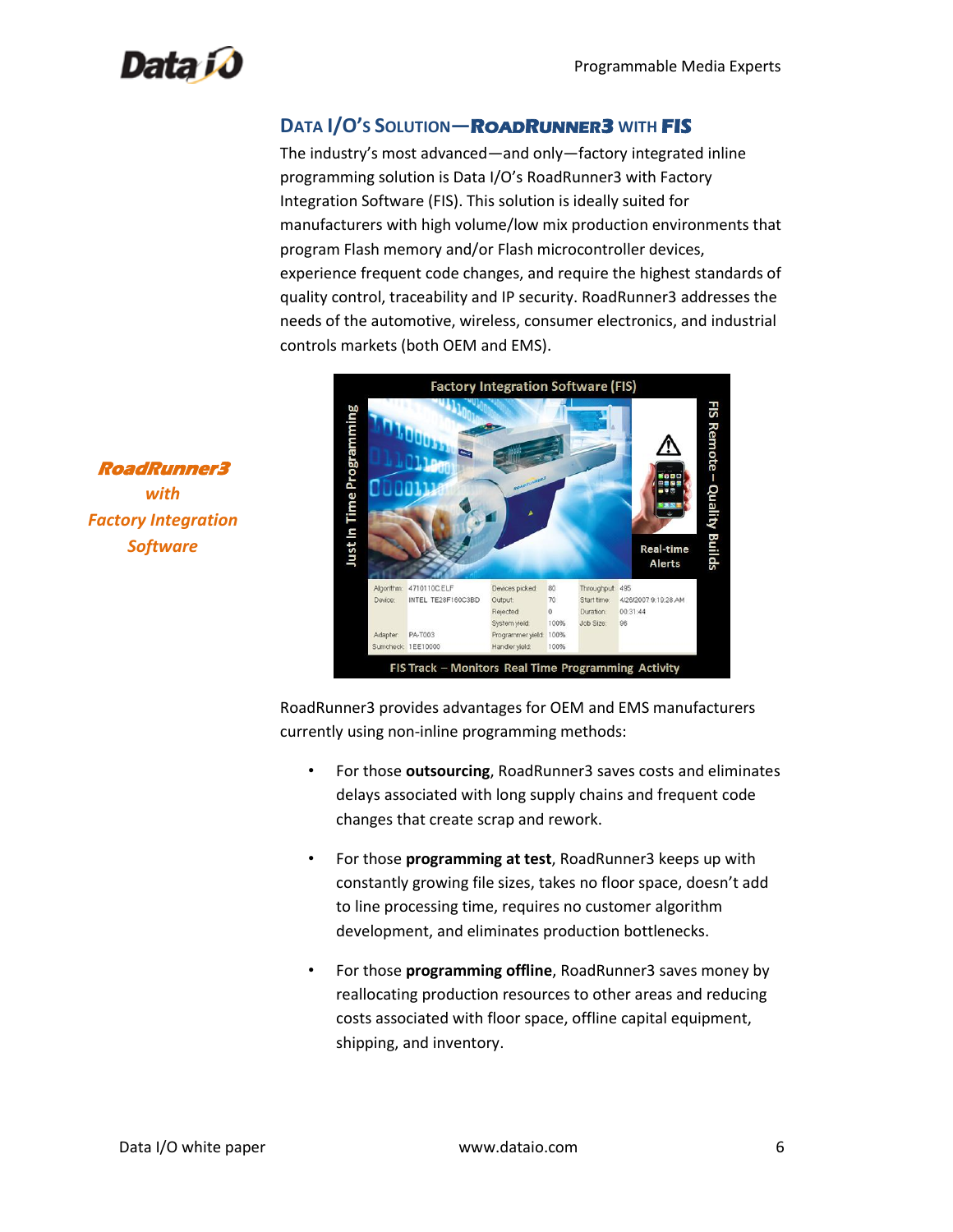

#### **DATA I/O'S SOLUTION—ROADRUNNER3 WITH FIS**

The industry's most advanced—and only—factory integrated inline programming solution is Data I/O's RoadRunner3 with Factory Integration Software (FIS). This solution is ideally suited for manufacturers with high volume/low mix production environments that program Flash memory and/or Flash microcontroller devices, experience frequent code changes, and require the highest standards of quality control, traceability and IP security. RoadRunner3 addresses the needs of the automotive, wireless, consumer electronics, and industrial controls markets (both OEM and EMS).



RoadRunner3 provides advantages for OEM and EMS manufacturers currently using non-inline programming methods:

- For those **outsourcing**, RoadRunner3 saves costs and eliminates delays associated with long supply chains and frequent code changes that create scrap and rework.
- For those **programming at test**, RoadRunner3 keeps up with constantly growing file sizes, takes no floor space, doesn't add to line processing time, requires no customer algorithm development, and eliminates production bottlenecks.
- For those **programming offline**, RoadRunner3 saves money by reallocating production resources to other areas and reducing costs associated with floor space, offline capital equipment, shipping, and inventory.

**RoadRunner3**  *with Factory Integration Software*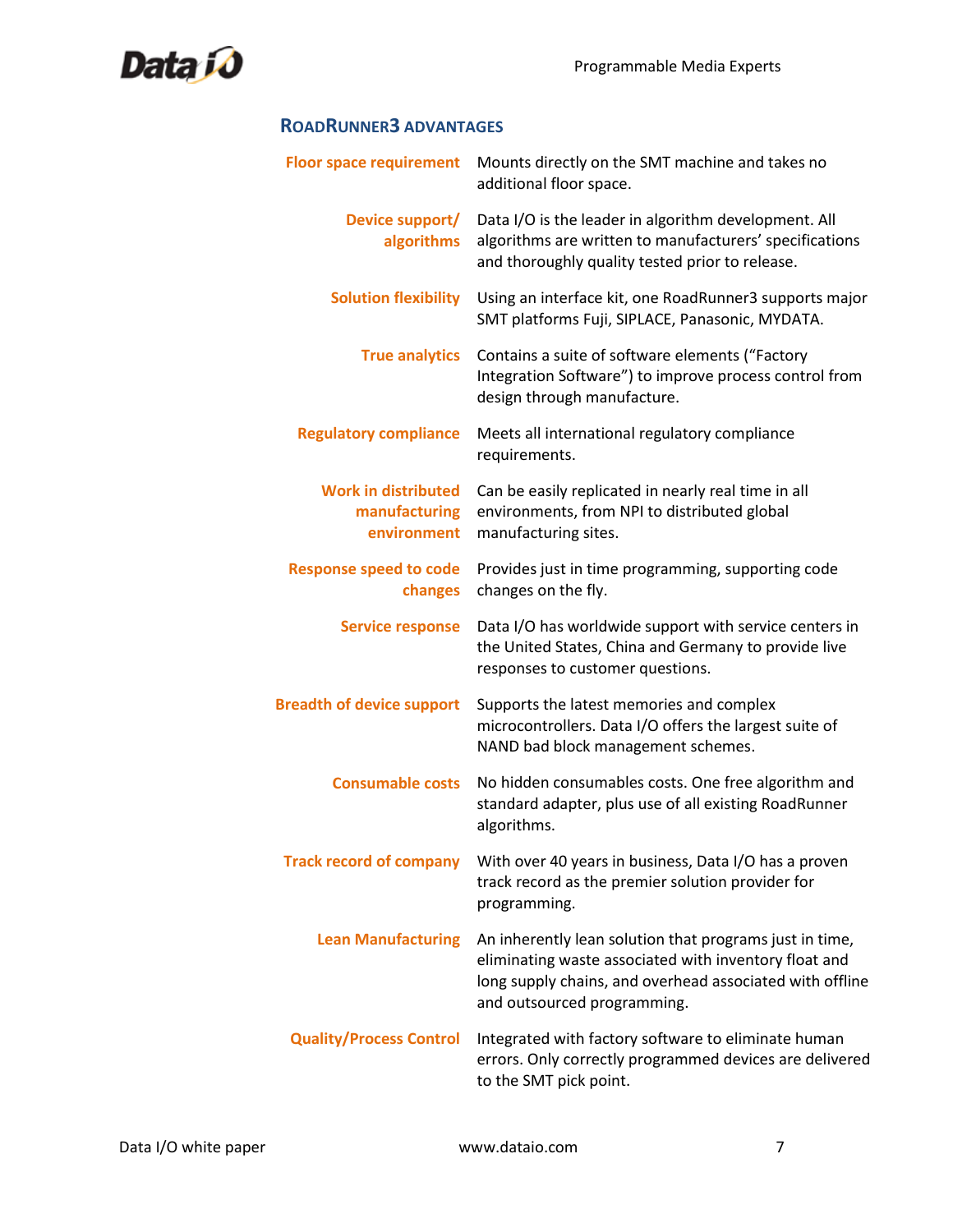

#### **ROADRUNNER3 ADVANTAGES**

| <b>Floor space requirement</b>                             | Mounts directly on the SMT machine and takes no<br>additional floor space.                                                                                                                                  |
|------------------------------------------------------------|-------------------------------------------------------------------------------------------------------------------------------------------------------------------------------------------------------------|
| Device support/<br>algorithms                              | Data I/O is the leader in algorithm development. All<br>algorithms are written to manufacturers' specifications<br>and thoroughly quality tested prior to release.                                          |
| <b>Solution flexibility</b>                                | Using an interface kit, one RoadRunner3 supports major<br>SMT platforms Fuji, SIPLACE, Panasonic, MYDATA.                                                                                                   |
| <b>True analytics</b>                                      | Contains a suite of software elements ("Factory<br>Integration Software") to improve process control from<br>design through manufacture.                                                                    |
| <b>Regulatory compliance</b>                               | Meets all international regulatory compliance<br>requirements.                                                                                                                                              |
| <b>Work in distributed</b><br>manufacturing<br>environment | Can be easily replicated in nearly real time in all<br>environments, from NPI to distributed global<br>manufacturing sites.                                                                                 |
| <b>Response speed to code</b><br>changes                   | Provides just in time programming, supporting code<br>changes on the fly.                                                                                                                                   |
| <b>Service response</b>                                    | Data I/O has worldwide support with service centers in<br>the United States, China and Germany to provide live<br>responses to customer questions.                                                          |
| <b>Breadth of device support</b>                           | Supports the latest memories and complex<br>microcontrollers. Data I/O offers the largest suite of<br>NAND bad block management schemes.                                                                    |
| <b>Consumable costs</b>                                    | No hidden consumables costs. One free algorithm and<br>standard adapter, plus use of all existing RoadRunner<br>algorithms.                                                                                 |
| <b>Track record of company</b>                             | With over 40 years in business, Data I/O has a proven<br>track record as the premier solution provider for<br>programming.                                                                                  |
| <b>Lean Manufacturing</b>                                  | An inherently lean solution that programs just in time,<br>eliminating waste associated with inventory float and<br>long supply chains, and overhead associated with offline<br>and outsourced programming. |
| <b>Quality/Process Control</b>                             | Integrated with factory software to eliminate human<br>errors. Only correctly programmed devices are delivered<br>to the SMT pick point.                                                                    |